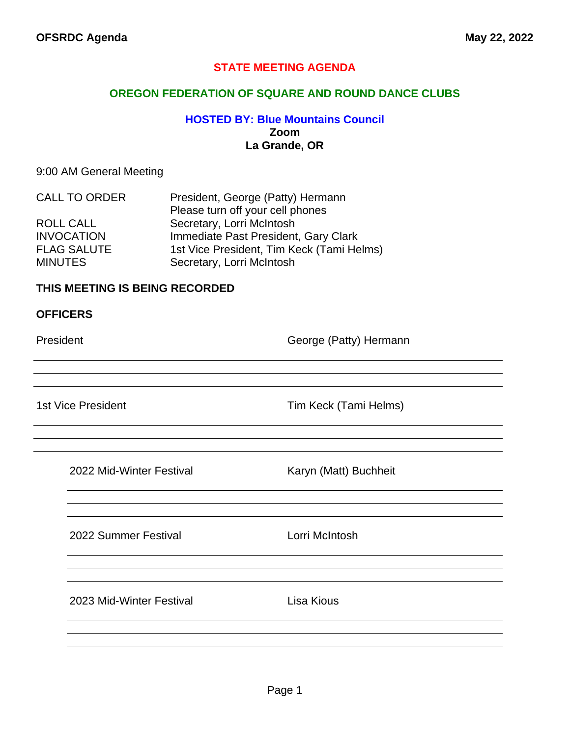## **STATE MEETING AGENDA**

#### **OREGON FEDERATION OF SQUARE AND ROUND DANCE CLUBS**

### **HOSTED BY: Blue Mountains Council Zoom La Grande, OR**

#### 9:00 AM General Meeting

| <b>CALL TO ORDER</b> | President, George (Patty) Hermann         |
|----------------------|-------------------------------------------|
|                      | Please turn off your cell phones          |
| ROLL CALL            | Secretary, Lorri McIntosh                 |
| <b>INVOCATION</b>    | Immediate Past President, Gary Clark      |
| <b>FLAG SALUTE</b>   | 1st Vice President, Tim Keck (Tami Helms) |
| <b>MINUTES</b>       | Secretary, Lorri McIntosh                 |

#### **THIS MEETING IS BEING RECORDED**

#### **OFFICERS**

President **Contract Contract Contract Contract Contract Contract Contract Contract Contract Contract Contract Contract Contract Contract Contract Contract Contract Contract Contract Contract Contract Contract Contract Cont** 

1st Vice President Tim Keck (Tami Helms)

2022 Mid-Winter Festival Karyn (Matt) Buchheit

2022 Summer Festival Lorri McIntosh

2023 Mid-Winter Festival Lisa Kious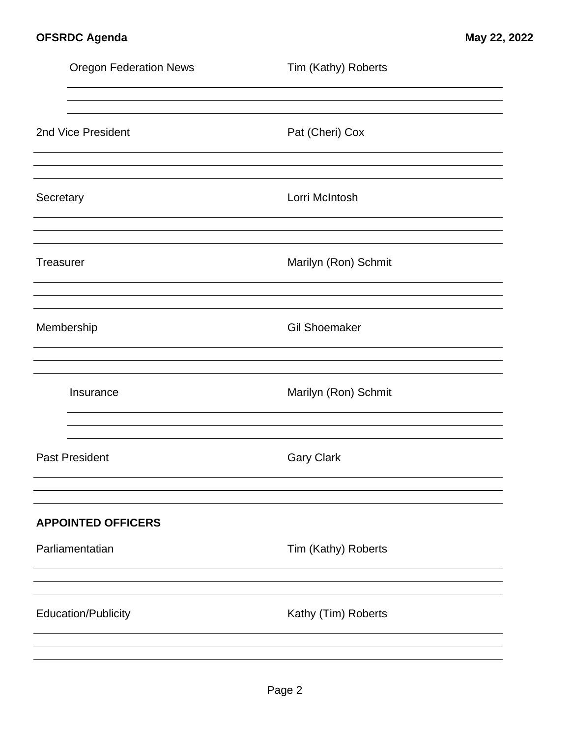|           | <b>Oregon Federation News</b> | Tim (Kathy) Roberts  |  |
|-----------|-------------------------------|----------------------|--|
|           |                               |                      |  |
|           | 2nd Vice President            | Pat (Cheri) Cox      |  |
| Secretary |                               | Lorri McIntosh       |  |
| Treasurer |                               | Marilyn (Ron) Schmit |  |
|           | Membership                    | <b>Gil Shoemaker</b> |  |
|           | Insurance                     | Marilyn (Ron) Schmit |  |
|           | <b>Past President</b>         | <b>Gary Clark</b>    |  |
|           | <b>APPOINTED OFFICERS</b>     |                      |  |
|           | Parliamentatian               | Tim (Kathy) Roberts  |  |
|           |                               |                      |  |
|           | <b>Education/Publicity</b>    | Kathy (Tim) Roberts  |  |
|           |                               |                      |  |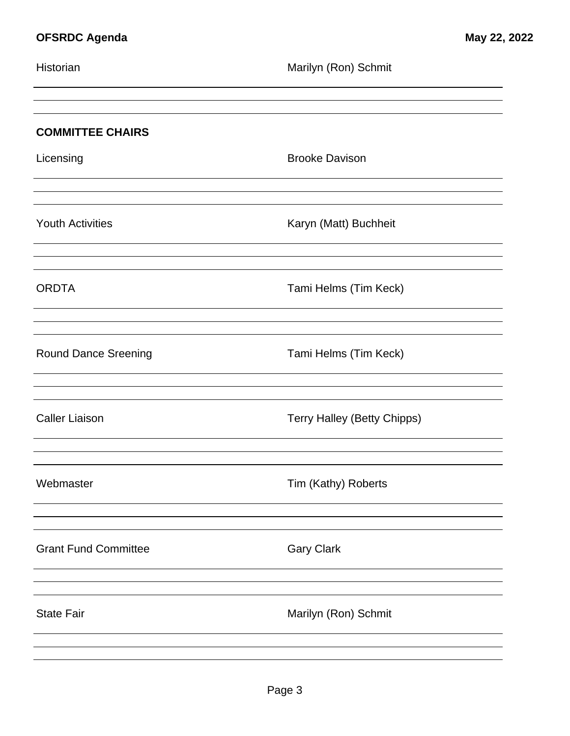| <b>COMMITTEE CHAIRS</b> |
|-------------------------|
| Licensing               |
|                         |

Youth Activities **Karyn (Matt)** Buchheit

ORDTA Tami Helms (Tim Keck)

Round Dance Sreening Tami Helms (Tim Keck)

Caller Liaison **Terry Halley (Betty Chipps)** 

**Brooke Davison** 

Webmaster **Tim (Kathy)** Roberts

Historian Marilyn (Ron) Schmit

Grant Fund Committee Gary Clark

State Fair **Marilyn** (Ron) Schmit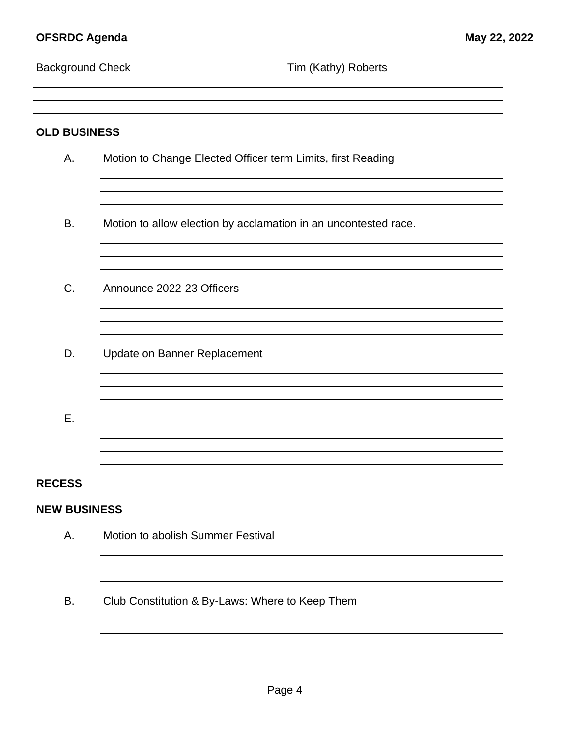<u> 1980 - Johann Barn, mars ann an t-Amhain Aonaich an t-Aonaich an t-Aonaich ann an t-Aonaich ann an t-Aonaich</u>

|  |  | <b>Background Check</b> |  |
|--|--|-------------------------|--|
|--|--|-------------------------|--|

| <b>OLD BUSINESS</b> |                                                                 |  |
|---------------------|-----------------------------------------------------------------|--|
| Α.                  | Motion to Change Elected Officer term Limits, first Reading     |  |
|                     |                                                                 |  |
| B.                  | Motion to allow election by acclamation in an uncontested race. |  |
| C.                  | Announce 2022-23 Officers                                       |  |
|                     |                                                                 |  |
| D.                  | Update on Banner Replacement                                    |  |
|                     |                                                                 |  |
| Ε.                  |                                                                 |  |
|                     |                                                                 |  |
| <b>RECESS</b>       |                                                                 |  |
| <b>NEW BUSINESS</b> |                                                                 |  |
| А.                  | Motion to abolish Summer Festival                               |  |
|                     |                                                                 |  |
| В.                  | Club Constitution & By-Laws: Where to Keep Them                 |  |
|                     |                                                                 |  |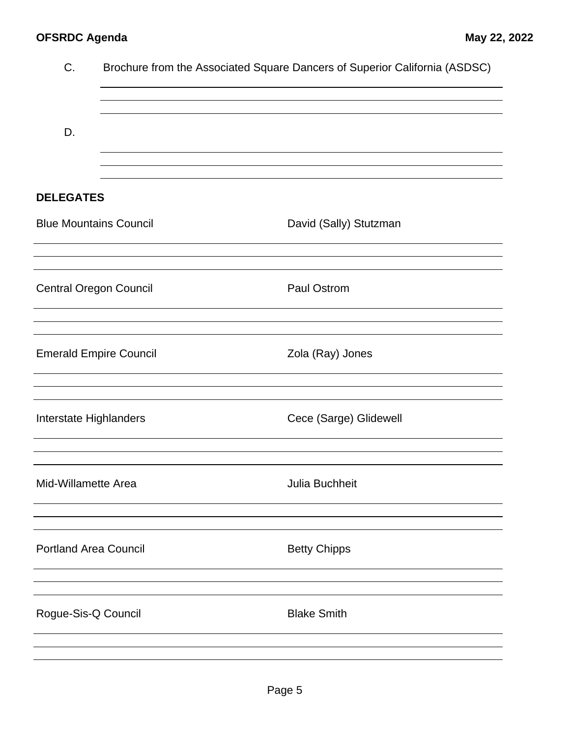| C.                            | Brochure from the Associated Square Dancers of Superior California (ASDSC) |
|-------------------------------|----------------------------------------------------------------------------|
| D.                            |                                                                            |
| <b>DELEGATES</b>              |                                                                            |
| <b>Blue Mountains Council</b> | David (Sally) Stutzman                                                     |
|                               |                                                                            |
| <b>Central Oregon Council</b> | <b>Paul Ostrom</b>                                                         |
| <b>Emerald Empire Council</b> | Zola (Ray) Jones                                                           |
| Interstate Highlanders        | Cece (Sarge) Glidewell                                                     |
| Mid-Willamette Area           | Julia Buchheit                                                             |
| <b>Portland Area Council</b>  | <b>Betty Chipps</b>                                                        |
| Rogue-Sis-Q Council           | <b>Blake Smith</b>                                                         |
|                               |                                                                            |